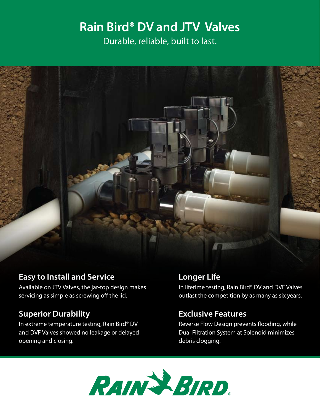# **Rain Bird® DV and JTV Valves**  Durable, reliable, built to last.



#### **Easy to Install and Service**

Available on JTV Valves, the jar-top design makes servicing as simple as screwing off the lid.

## **Superior Durability**

In extreme temperature testing, Rain Bird® DV and DVF Valves showed no leakage or delayed opening and closing.

### **Longer Life**

In lifetime testing, Rain Bird® DV and DVF Valves outlast the competition by as many as six years.

## **Exclusive Features**

Reverse Flow Design prevents flooding, while Dual Filtration System at Solenoid minimizes debris clogging.